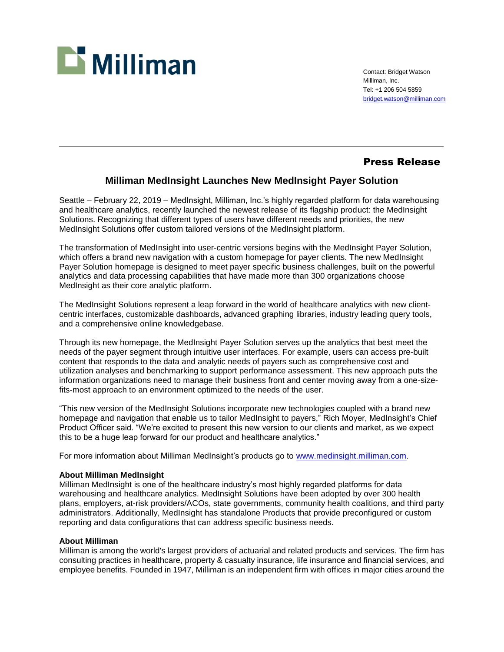

Contact: Bridget Watson Milliman, Inc. Tel: +1 206 504 5859 [bridget.watson@milliman.com](mailto:bridget.watson@milliman.com)

## Press Release

## **Milliman MedInsight Launches New MedInsight Payer Solution**

Seattle – February 22, 2019 – MedInsight, Milliman, Inc.'s highly regarded platform for data warehousing and healthcare analytics, recently launched the newest release of its flagship product: the MedInsight Solutions. Recognizing that different types of users have different needs and priorities, the new MedInsight Solutions offer custom tailored versions of the MedInsight platform.

The transformation of MedInsight into user-centric versions begins with the MedInsight Payer Solution, which offers a brand new navigation with a custom homepage for payer clients. The new MedInsight Payer Solution homepage is designed to meet payer specific business challenges, built on the powerful analytics and data processing capabilities that have made more than 300 organizations choose MedInsight as their core analytic platform.

The MedInsight Solutions represent a leap forward in the world of healthcare analytics with new clientcentric interfaces, customizable dashboards, advanced graphing libraries, industry leading query tools, and a comprehensive online knowledgebase.

Through its new homepage, the MedInsight Payer Solution serves up the analytics that best meet the needs of the payer segment through intuitive user interfaces. For example, users can access pre-built content that responds to the data and analytic needs of payers such as comprehensive cost and utilization analyses and benchmarking to support performance assessment. This new approach puts the information organizations need to manage their business front and center moving away from a one-sizefits-most approach to an environment optimized to the needs of the user.

"This new version of the MedInsight Solutions incorporate new technologies coupled with a brand new homepage and navigation that enable us to tailor MedInsight to payers," Rich Moyer, MedInsight's Chief Product Officer said. "We're excited to present this new version to our clients and market, as we expect this to be a huge leap forward for our product and healthcare analytics."

For more information about Milliman MedInsight's products go to [www.medinsight.milliman.com.](http://www.medinsight.milliman.com/)

## **About Milliman MedInsight**

Milliman MedInsight is one of the healthcare industry's most highly regarded platforms for data warehousing and healthcare analytics. MedInsight Solutions have been adopted by over 300 health plans, employers, at-risk providers/ACOs, state governments, community health coalitions, and third party administrators. Additionally, MedInsight has standalone Products that provide preconfigured or custom reporting and data configurations that can address specific business needs.

## **About Milliman**

Milliman is among the world's largest providers of actuarial and related products and services. The firm has consulting practices in healthcare, property & casualty insurance, life insurance and financial services, and employee benefits. Founded in 1947, Milliman is an independent firm with offices in major cities around the